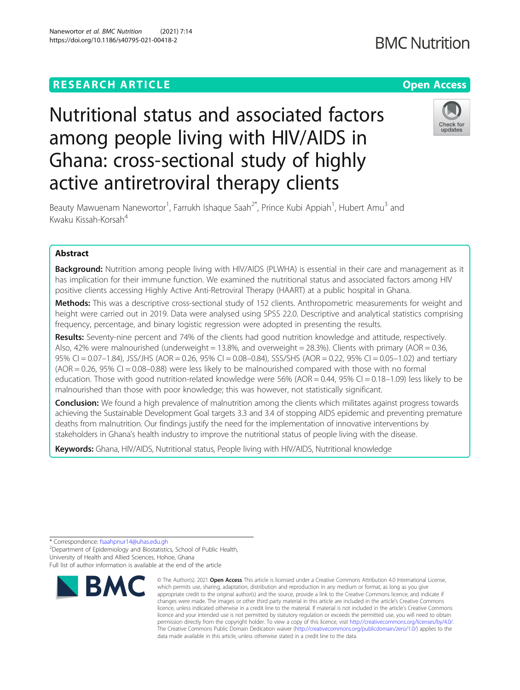**BMC Nutrition** 

# Nutritional status and associated factors among people living with HIV/AIDS in Ghana: cross-sectional study of highly active antiretroviral therapy clients



Beauty Mawuenam Nanewortor<sup>1</sup>, Farrukh Ishaque Saah<sup>2\*</sup>, Prince Kubi Appiah<sup>1</sup>, Hubert Amu<sup>3</sup> and Kwaku Kissah-Korsah<sup>4</sup>

# Abstract

**Background:** Nutrition among people living with HIV/AIDS (PLWHA) is essential in their care and management as it has implication for their immune function. We examined the nutritional status and associated factors among HIV positive clients accessing Highly Active Anti-Retroviral Therapy (HAART) at a public hospital in Ghana.

Methods: This was a descriptive cross-sectional study of 152 clients. Anthropometric measurements for weight and height were carried out in 2019. Data were analysed using SPSS 22.0. Descriptive and analytical statistics comprising frequency, percentage, and binary logistic regression were adopted in presenting the results.

Results: Seventy-nine percent and 74% of the clients had good nutrition knowledge and attitude, respectively. Also, 42% were malnourished (underweight = 13.8%, and overweight = 28.3%). Clients with primary (AOR = 0.36, 95% CI = 0.07–1.84), JSS/JHS (AOR = 0.26, 95% CI = 0.08–0.84), SSS/SHS (AOR = 0.22, 95% CI = 0.05–1.02) and tertiary  $(AOR = 0.26, 95\% \text{ CI} = 0.08-0.88)$  were less likely to be malnourished compared with those with no formal education. Those with good nutrition-related knowledge were  $56\%$  (AOR = 0.44, 95% CI = 0.18–1.09) less likely to be malnourished than those with poor knowledge; this was however, not statistically significant.

**Conclusion:** We found a high prevalence of malnutrition among the clients which militates against progress towards achieving the Sustainable Development Goal targets 3.3 and 3.4 of stopping AIDS epidemic and preventing premature deaths from malnutrition. Our findings justify the need for the implementation of innovative interventions by stakeholders in Ghana's health industry to improve the nutritional status of people living with the disease.

Keywords: Ghana, HIV/AIDS, Nutritional status, People living with HIV/AIDS, Nutritional knowledge

\* Correspondence: [fsaahpnur14@uhas.edu.gh](mailto:fsaahpnur14@uhas.edu.gh) <sup>2</sup>

<sup>2</sup>Department of Epidemiology and Biostatistics, School of Public Health, University of Health and Allied Sciences, Hohoe, Ghana

Full list of author information is available at the end of the article



<sup>©</sup> The Author(s), 2021 **Open Access** This article is licensed under a Creative Commons Attribution 4.0 International License, which permits use, sharing, adaptation, distribution and reproduction in any medium or format, as long as you give appropriate credit to the original author(s) and the source, provide a link to the Creative Commons licence, and indicate if changes were made. The images or other third party material in this article are included in the article's Creative Commons licence, unless indicated otherwise in a credit line to the material. If material is not included in the article's Creative Commons licence and your intended use is not permitted by statutory regulation or exceeds the permitted use, you will need to obtain permission directly from the copyright holder. To view a copy of this licence, visit [http://creativecommons.org/licenses/by/4.0/.](http://creativecommons.org/licenses/by/4.0/) The Creative Commons Public Domain Dedication waiver [\(http://creativecommons.org/publicdomain/zero/1.0/](http://creativecommons.org/publicdomain/zero/1.0/)) applies to the data made available in this article, unless otherwise stated in a credit line to the data.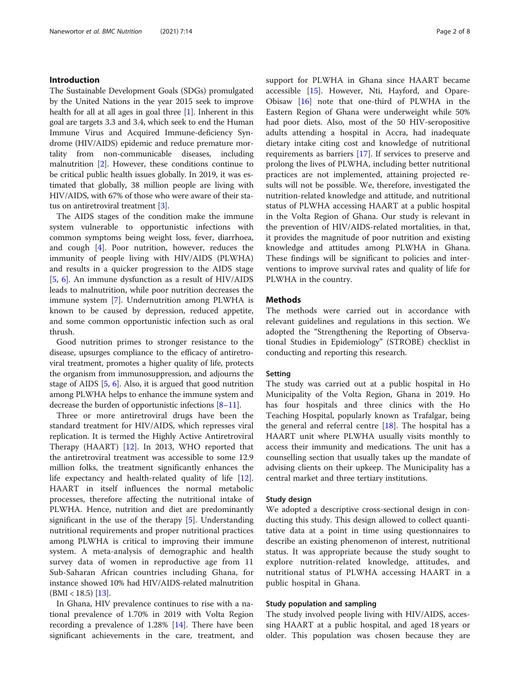# Introduction

The Sustainable Development Goals (SDGs) promulgated by the United Nations in the year 2015 seek to improve health for all at all ages in goal three  $[1]$  $[1]$ . Inherent in this goal are targets 3.3 and 3.4, which seek to end the Human Immune Virus and Acquired Immune-deficiency Syndrome (HIV/AIDS) epidemic and reduce premature mortality from non-communicable diseases, including malnutrition [[2\]](#page-7-0). However, these conditions continue to be critical public health issues globally. In 2019, it was estimated that globally, 38 million people are living with HIV/AIDS, with 67% of those who were aware of their status on antiretroviral treatment [[3\]](#page-7-0).

The AIDS stages of the condition make the immune system vulnerable to opportunistic infections with common symptoms being weight loss, fever, diarrhoea, and cough [[4\]](#page-7-0). Poor nutrition, however, reduces the immunity of people living with HIV/AIDS (PLWHA) and results in a quicker progression to the AIDS stage [[5,](#page-7-0) [6](#page-7-0)]. An immune dysfunction as a result of HIV/AIDS leads to malnutrition, while poor nutrition decreases the immune system [[7](#page-7-0)]. Undernutrition among PLWHA is known to be caused by depression, reduced appetite, and some common opportunistic infection such as oral thrush.

Good nutrition primes to stronger resistance to the disease, upsurges compliance to the efficacy of antiretroviral treatment, promotes a higher quality of life, protects the organism from immunosuppression, and adjourns the stage of AIDS [[5,](#page-7-0) [6\]](#page-7-0). Also, it is argued that good nutrition among PLWHA helps to enhance the immune system and decrease the burden of opportunistic infections [\[8](#page-7-0)–[11](#page-7-0)].

Three or more antiretroviral drugs have been the standard treatment for HIV/AIDS, which represses viral replication. It is termed the Highly Active Antiretroviral Therapy (HAART) [\[12\]](#page-7-0). In 2013, WHO reported that the antiretroviral treatment was accessible to some 12.9 million folks, the treatment significantly enhances the life expectancy and health-related quality of life [\[12](#page-7-0)]. HAART in itself influences the normal metabolic processes, therefore affecting the nutritional intake of PLWHA. Hence, nutrition and diet are predominantly significant in the use of the therapy [[5\]](#page-7-0). Understanding nutritional requirements and proper nutritional practices among PLWHA is critical to improving their immune system. A meta-analysis of demographic and health survey data of women in reproductive age from 11 Sub-Saharan African countries including Ghana, for instance showed 10% had HIV/AIDS-related malnutrition  $(BMI < 18.5)$  [\[13\]](#page-7-0).

In Ghana, HIV prevalence continues to rise with a national prevalence of 1.70% in 2019 with Volta Region recording a prevalence of 1.28% [\[14\]](#page-7-0). There have been significant achievements in the care, treatment, and support for PLWHA in Ghana since HAART became accessible [[15\]](#page-7-0). However, Nti, Hayford, and Opare-Obisaw [[16](#page-7-0)] note that one-third of PLWHA in the Eastern Region of Ghana were underweight while 50% had poor diets. Also, most of the 50 HIV-seropositive adults attending a hospital in Accra, had inadequate dietary intake citing cost and knowledge of nutritional requirements as barriers [[17](#page-7-0)]. If services to preserve and prolong the lives of PLWHA, including better nutritional practices are not implemented, attaining projected results will not be possible. We, therefore, investigated the nutrition-related knowledge and attitude, and nutritional status of PLWHA accessing HAART at a public hospital in the Volta Region of Ghana. Our study is relevant in the prevention of HIV/AIDS-related mortalities, in that, it provides the magnitude of poor nutrition and existing knowledge and attitudes among PLWHA in Ghana. These findings will be significant to policies and interventions to improve survival rates and quality of life for PLWHA in the country.

# **Methods**

The methods were carried out in accordance with relevant guidelines and regulations in this section. We adopted the "Strengthening the Reporting of Observational Studies in Epidemiology" (STROBE) checklist in conducting and reporting this research.

#### Setting

The study was carried out at a public hospital in Ho Municipality of the Volta Region, Ghana in 2019. Ho has four hospitals and three clinics with the Ho Teaching Hospital, popularly known as Trafalgar, being the general and referral centre  $[18]$  $[18]$ . The hospital has a HAART unit where PLWHA usually visits monthly to access their immunity and medications. The unit has a counselling section that usually takes up the mandate of advising clients on their upkeep. The Municipality has a central market and three tertiary institutions.

## Study design

We adopted a descriptive cross-sectional design in conducting this study. This design allowed to collect quantitative data at a point in time using questionnaires to describe an existing phenomenon of interest, nutritional status. It was appropriate because the study sought to explore nutrition-related knowledge, attitudes, and nutritional status of PLWHA accessing HAART in a public hospital in Ghana.

### Study population and sampling

The study involved people living with HIV/AIDS, accessing HAART at a public hospital, and aged 18 years or older. This population was chosen because they are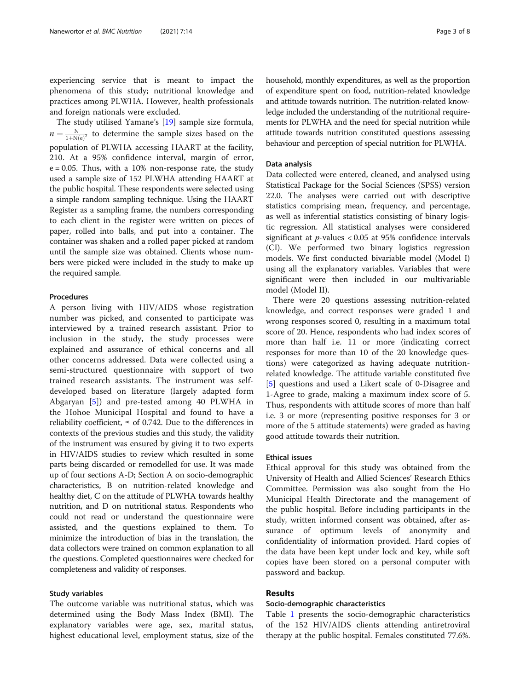experiencing service that is meant to impact the phenomena of this study; nutritional knowledge and practices among PLWHA. However, health professionals and foreign nationals were excluded.

The study utilised Yamane's [[19\]](#page-7-0) sample size formula,  $n = \frac{N}{1 + N(e)^2}$  to determine the sample sizes based on the population of PLWHA accessing HAART at the facility, 210. At a 95% confidence interval, margin of error,  $e = 0.05$ . Thus, with a 10% non-response rate, the study used a sample size of 152 PLWHA attending HAART at the public hospital. These respondents were selected using a simple random sampling technique. Using the HAART Register as a sampling frame, the numbers corresponding to each client in the register were written on pieces of paper, rolled into balls, and put into a container. The container was shaken and a rolled paper picked at random until the sample size was obtained. Clients whose numbers were picked were included in the study to make up the required sample.

#### Procedures

A person living with HIV/AIDS whose registration number was picked, and consented to participate was interviewed by a trained research assistant. Prior to inclusion in the study, the study processes were explained and assurance of ethical concerns and all other concerns addressed. Data were collected using a semi-structured questionnaire with support of two trained research assistants. The instrument was selfdeveloped based on literature (largely adapted form Abgaryan [\[5](#page-7-0)]) and pre-tested among 40 PLWHA in the Hohoe Municipal Hospital and found to have a reliability coefficient,  $\propto$  of 0.742. Due to the differences in contexts of the previous studies and this study, the validity of the instrument was ensured by giving it to two experts in HIV/AIDS studies to review which resulted in some parts being discarded or remodelled for use. It was made up of four sections A-D; Section A on socio-demographic characteristics, B on nutrition-related knowledge and healthy diet, C on the attitude of PLWHA towards healthy nutrition, and D on nutritional status. Respondents who could not read or understand the questionnaire were assisted, and the questions explained to them. To minimize the introduction of bias in the translation, the data collectors were trained on common explanation to all the questions. Completed questionnaires were checked for completeness and validity of responses.

# Study variables

The outcome variable was nutritional status, which was determined using the Body Mass Index (BMI). The explanatory variables were age, sex, marital status, highest educational level, employment status, size of the household, monthly expenditures, as well as the proportion of expenditure spent on food, nutrition-related knowledge and attitude towards nutrition. The nutrition-related knowledge included the understanding of the nutritional requirements for PLWHA and the need for special nutrition while attitude towards nutrition constituted questions assessing behaviour and perception of special nutrition for PLWHA.

#### Data analysis

Data collected were entered, cleaned, and analysed using Statistical Package for the Social Sciences (SPSS) version 22.0. The analyses were carried out with descriptive statistics comprising mean, frequency, and percentage, as well as inferential statistics consisting of binary logistic regression. All statistical analyses were considered significant at  $p$ -values < 0.05 at 95% confidence intervals (CI). We performed two binary logistics regression models. We first conducted bivariable model (Model I) using all the explanatory variables. Variables that were significant were then included in our multivariable model (Model II).

There were 20 questions assessing nutrition-related knowledge, and correct responses were graded 1 and wrong responses scored 0, resulting in a maximum total score of 20. Hence, respondents who had index scores of more than half i.e. 11 or more (indicating correct responses for more than 10 of the 20 knowledge questions) were categorized as having adequate nutritionrelated knowledge. The attitude variable constituted five [[5\]](#page-7-0) questions and used a Likert scale of 0-Disagree and 1-Agree to grade, making a maximum index score of 5. Thus, respondents with attitude scores of more than half i.e. 3 or more (representing positive responses for 3 or more of the 5 attitude statements) were graded as having good attitude towards their nutrition.

#### Ethical issues

Ethical approval for this study was obtained from the University of Health and Allied Sciences' Research Ethics Committee. Permission was also sought from the Ho Municipal Health Directorate and the management of the public hospital. Before including participants in the study, written informed consent was obtained, after assurance of optimum levels of anonymity and confidentiality of information provided. Hard copies of the data have been kept under lock and key, while soft copies have been stored on a personal computer with password and backup.

# Results

### Socio-demographic characteristics

Table [1](#page-3-0) presents the socio-demographic characteristics of the 152 HIV/AIDS clients attending antiretroviral therapy at the public hospital. Females constituted 77.6%.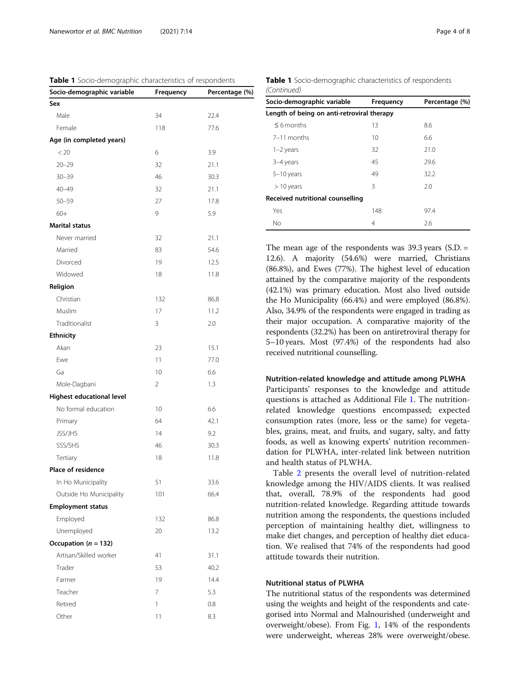<span id="page-3-0"></span>Table 1 Socio-demographic characteristics of respondents

| Socio-demographic variable | Frequency | Percentage (%) |
|----------------------------|-----------|----------------|
| Sex                        |           |                |
| Male                       | 34        | 22.4           |
| Female                     | 118       | 77.6           |
| Age (in completed years)   |           |                |
| < 20                       | 6         | 3.9            |
| $20 - 29$                  | 32        | 21.1           |
| $30 - 39$                  | 46        | 30.3           |
| $40 - 49$                  | 32        | 21.1           |
| $50 - 59$                  | 27        | 17.8           |
| $60+$                      | 9         | 5.9            |
| <b>Marital status</b>      |           |                |
| Never married              | 32        | 21.1           |
| Married                    | 83        | 54.6           |
| Divorced                   | 19        | 12.5           |
| Widowed                    | 18        | 11.8           |
| Religion                   |           |                |
| Christian                  | 132       | 86.8           |
| Muslim                     | 17        | 11.2           |
| Traditionalist             | 3         | 2.0            |
| <b>Ethnicity</b>           |           |                |
| Akan                       | 23        | 15.1           |
| Ewe                        | 11        | 77.0           |
| Ga                         | 10        | 6.6            |
| Mole-Dagbani               | 2         | 1.3            |
| Highest educational level  |           |                |
| No formal education        | 10        | 6.6            |
| Primary                    | 64        | 42.1           |
| <b>JSS/JHS</b>             | 14        | 9.2            |
| SSS/SHS                    | 46        | 30.3           |
| Tertiary                   | 18        | 11.8           |
| <b>Place of residence</b>  |           |                |
| In Ho Municipality         | 51        | 33.6           |
| Outside Ho Municipality    | 101       | 66.4           |
| <b>Employment status</b>   |           |                |
| Employed                   | 132       | 86.8           |
| Unemployed                 | 20        | 13.2           |
| Occupation ( $n = 132$ )   |           |                |
| Artisan/Skilled worker     | 41        | 31.1           |
| Trader                     | 53        | 40.2           |
| Farmer                     | 19        | 14.4           |
| Teacher                    | 7         | 5.3            |
| Retired                    | 1         | 0.8            |
| Other                      | 11        | 8.3            |

Table 1 Socio-demographic characteristics of respondents (Continued)

| Socio-demographic variable                 | Frequency | Percentage (%) |  |  |
|--------------------------------------------|-----------|----------------|--|--|
| Length of being on anti-retroviral therapy |           |                |  |  |
| $\leq$ 6 months                            | 13        | 8.6            |  |  |
| 7-11 months                                | 10        | 6.6            |  |  |
| $1-2$ years                                | 32        | 21.0           |  |  |
| 3-4 years                                  | 45        | 29.6           |  |  |
| $5-10$ years                               | 49        | 32.2           |  |  |
| $>10$ years                                | 3         | 2.0            |  |  |
| Received nutritional counselling           |           |                |  |  |
| Yes                                        | 148       | 97.4           |  |  |
| No                                         | 4         | 2.6            |  |  |

The mean age of the respondents was 39.3 years (S.D. = 12.6). A majority (54.6%) were married, Christians (86.8%), and Ewes (77%). The highest level of education attained by the comparative majority of the respondents (42.1%) was primary education. Most also lived outside the Ho Municipality (66.4%) and were employed (86.8%). Also, 34.9% of the respondents were engaged in trading as their major occupation. A comparative majority of the respondents (32.2%) has been on antiretroviral therapy for 5–10 years. Most (97.4%) of the respondents had also received nutritional counselling.

#### Nutrition-related knowledge and attitude among PLWHA

Participants' responses to the knowledge and attitude questions is attached as Additional File [1.](#page-6-0) The nutritionrelated knowledge questions encompassed; expected consumption rates (more, less or the same) for vegetables, grains, meat, and fruits, and sugary, salty, and fatty foods, as well as knowing experts' nutrition recommendation for PLWHA, inter-related link between nutrition and health status of PLWHA.

Table [2](#page-4-0) presents the overall level of nutrition-related knowledge among the HIV/AIDS clients. It was realised that, overall, 78.9% of the respondents had good nutrition-related knowledge. Regarding attitude towards nutrition among the respondents, the questions included perception of maintaining healthy diet, willingness to make diet changes, and perception of healthy diet education. We realised that 74% of the respondents had good attitude towards their nutrition.

# Nutritional status of PLWHA

The nutritional status of the respondents was determined using the weights and height of the respondents and categorised into Normal and Malnourished (underweight and overweight/obese). From Fig. [1](#page-4-0), 14% of the respondents were underweight, whereas 28% were overweight/obese.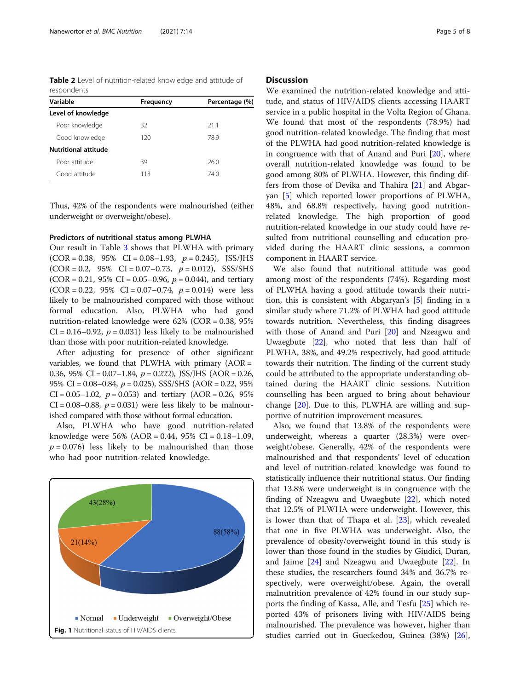<span id="page-4-0"></span>Table 2 Level of nutrition-related knowledge and attitude of respondents

| Variable             | Frequency | Percentage (%) |
|----------------------|-----------|----------------|
| Level of knowledge   |           |                |
| Poor knowledge       | 32        | 21.1           |
| Good knowledge       | 120       | 78.9           |
| Nutritional attitude |           |                |
| Poor attitude        | 39        | 26.0           |
| Good attitude        | 113       | 74.0           |

Thus, 42% of the respondents were malnourished (either underweight or overweight/obese).

### Predictors of nutritional status among PLWHA

Our result in Table [3](#page-5-0) shows that PLWHA with primary  $(COR = 0.38, 95\% \text{ CI} = 0.08 - 1.93, p = 0.245),$  JSS/JHS  $(COR = 0.2, 95\% \text{ CI} = 0.07 - 0.73, p = 0.012), SSS/SHS$  $(COR = 0.21, 95\% \text{ CI} = 0.05 - 0.96, p = 0.044)$ , and tertiary  $(COR = 0.22, 95\% \text{ CI} = 0.07 - 0.74, p = 0.014)$  were less likely to be malnourished compared with those without formal education. Also, PLWHA who had good nutrition-related knowledge were 62% (COR = 0.38, 95%  $CI = 0.16 - 0.92$ ,  $p = 0.031$ ) less likely to be malnourished than those with poor nutrition-related knowledge.

After adjusting for presence of other significant variables, we found that PLWHA with primary  $(AOR =$ 0.36, 95% CI =  $0.07-1.84$ ,  $p = 0.222$ ), JSS/JHS (AOR = 0.26, 95% CI =  $0.08-0.84$ ,  $p = 0.025$ ), SSS/SHS (AOR = 0.22, 95%)  $CI = 0.05 - 1.02$ ,  $p = 0.053$ ) and tertiary (AOR = 0.26, 95%  $CI = 0.08 - 0.88$ ,  $p = 0.031$ ) were less likely to be malnourished compared with those without formal education.

Also, PLWHA who have good nutrition-related knowledge were 56% (AOR = 0.44, 95% CI = 0.18–1.09,  $p = 0.076$ ) less likely to be malnourished than those who had poor nutrition-related knowledge.



# **Discussion**

We examined the nutrition-related knowledge and attitude, and status of HIV/AIDS clients accessing HAART service in a public hospital in the Volta Region of Ghana. We found that most of the respondents (78.9%) had good nutrition-related knowledge. The finding that most of the PLWHA had good nutrition-related knowledge is in congruence with that of Anand and Puri [[20\]](#page-7-0), where overall nutrition-related knowledge was found to be good among 80% of PLWHA. However, this finding differs from those of Devika and Thahira [\[21](#page-7-0)] and Abgaryan [[5\]](#page-7-0) which reported lower proportions of PLWHA, 48%, and 68.8% respectively, having good nutritionrelated knowledge. The high proportion of good nutrition-related knowledge in our study could have resulted from nutritional counselling and education provided during the HAART clinic sessions, a common component in HAART service.

We also found that nutritional attitude was good among most of the respondents (74%). Regarding most of PLWHA having a good attitude towards their nutrition, this is consistent with Abgaryan's [[5\]](#page-7-0) finding in a similar study where 71.2% of PLWHA had good attitude towards nutrition. Nevertheless, this finding disagrees with those of Anand and Puri [[20\]](#page-7-0) and Nzeagwu and Uwaegbute [[22](#page-7-0)], who noted that less than half of PLWHA, 38%, and 49.2% respectively, had good attitude towards their nutrition. The finding of the current study could be attributed to the appropriate understanding obtained during the HAART clinic sessions. Nutrition counselling has been argued to bring about behaviour change [[20](#page-7-0)]. Due to this, PLWHA are willing and supportive of nutrition improvement measures.

Also, we found that 13.8% of the respondents were underweight, whereas a quarter (28.3%) were overweight/obese. Generally, 42% of the respondents were malnourished and that respondents' level of education and level of nutrition-related knowledge was found to statistically influence their nutritional status. Our finding that 13.8% were underweight is in congruence with the finding of Nzeagwu and Uwaegbute [\[22](#page-7-0)], which noted that 12.5% of PLWHA were underweight. However, this is lower than that of Thapa et al. [[23\]](#page-7-0), which revealed that one in five PLWHA was underweight. Also, the prevalence of obesity/overweight found in this study is lower than those found in the studies by Giudici, Duran, and Jaime [[24](#page-7-0)] and Nzeagwu and Uwaegbute [[22\]](#page-7-0). In these studies, the researchers found 34% and 36.7% respectively, were overweight/obese. Again, the overall malnutrition prevalence of 42% found in our study supports the finding of Kassa, Alle, and Tesfu [[25](#page-7-0)] which reported 43% of prisoners living with HIV/AIDS being malnourished. The prevalence was however, higher than studies carried out in Gueckedou, Guinea (38%) [\[26](#page-7-0)],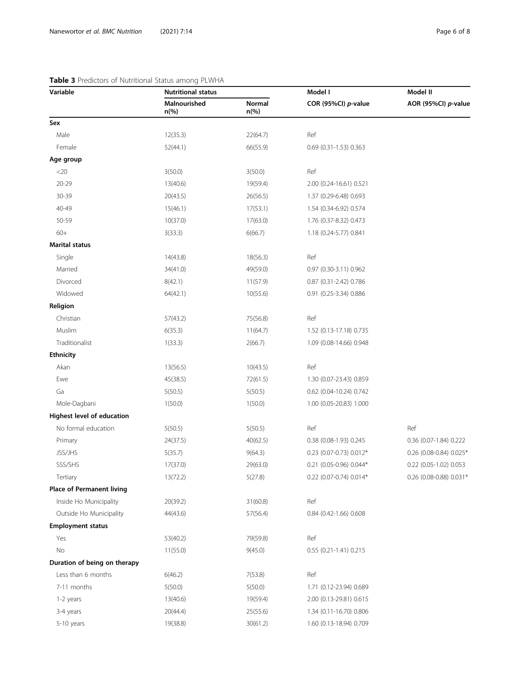# <span id="page-5-0"></span>Table 3 Predictors of Nutritional Status among PLWHA

| Variable                         | <b>Nutritional status</b> |                   | Model I                 | Model II                |
|----------------------------------|---------------------------|-------------------|-------------------------|-------------------------|
|                                  | Malnourished<br>$n$ (%)   | Normal<br>$n$ (%) | COR (95%CI) p-value     | AOR (95%CI) p-value     |
| Sex                              |                           |                   |                         |                         |
| Male                             | 12(35.3)                  | 22(64.7)          | Ref                     |                         |
| Female                           | 52(44.1)                  | 66(55.9)          | 0.69 (0.31-1.53) 0.363  |                         |
| Age group                        |                           |                   |                         |                         |
| $<$ 20                           | 3(50.0)                   | 3(50.0)           | Ref                     |                         |
| 20-29                            | 13(40.6)                  | 19(59.4)          | 2.00 (0.24-16.61) 0.521 |                         |
| 30-39                            | 20(43.5)                  | 26(56.5)          | 1.37 (0.29-6.48) 0.693  |                         |
| 40-49                            | 15(46.1)                  | 17(53.1)          | 1.54 (0.34-6.92) 0.574  |                         |
| 50-59                            | 10(37.0)                  | 17(63.0)          | 1.76 (0.37-8.32) 0.473  |                         |
| $60+$                            | 3(33.3)                   | 6(66.7)           | 1.18 (0.24-5.77) 0.841  |                         |
| <b>Marital status</b>            |                           |                   |                         |                         |
| Single                           | 14(43.8)                  | 18(56.3)          | Ref                     |                         |
| Married                          | 34(41.0)                  | 49(59.0)          | 0.97 (0.30-3.11) 0.962  |                         |
| Divorced                         | 8(42.1)                   | 11(57.9)          | 0.87 (0.31-2.42) 0.786  |                         |
| Widowed                          | 64(42.1)                  | 10(55.6)          | 0.91 (0.25-3.34) 0.886  |                         |
| Religion                         |                           |                   |                         |                         |
| Christian                        | 57(43.2)                  | 75(56.8)          | Ref                     |                         |
| Muslim                           | 6(35.3)                   | 11(64.7)          | 1.52 (0.13-17.18) 0.735 |                         |
| Traditionalist                   | 1(33.3)                   | 2(66.7)           | 1.09 (0.08-14.66) 0.948 |                         |
| <b>Ethnicity</b>                 |                           |                   |                         |                         |
| Akan                             | 13(56.5)                  | 10(43.5)          | Ref                     |                         |
| Ewe                              | 45(38.5)                  | 72(61.5)          | 1.30 (0.07-23.43) 0.859 |                         |
| Ga                               | 5(50.5)                   | 5(50.5)           | 0.62 (0.04-10.24) 0.742 |                         |
| Mole-Dagbani                     | 1(50.0)                   | 1(50.0)           | 1.00 (0.05-20.83) 1.000 |                         |
| Highest level of education       |                           |                   |                         |                         |
| No formal education              | 5(50.5)                   | 5(50.5)           | Ref                     | Ref                     |
| Primary                          | 24(37.5)                  | 40(62.5)          | 0.38 (0.08-1.93) 0.245  | 0.36 (0.07-1.84) 0.222  |
| JSS/JHS                          | 5(35.7)                   | 9(64.3)           | 0.23 (0.07-0.73) 0.012* | 0.26 (0.08-0.84) 0.025* |
| SSS/SHS                          | 17(37.0)                  | 29(63.0)          | 0.21 (0.05-0.96) 0.044* | 0.22 (0.05-1.02) 0.053  |
| Tertiary                         | 13(72.2)                  | 5(27.8)           | 0.22 (0.07-0.74) 0.014* | 0.26 (0.08-0.88) 0.031* |
| <b>Place of Permanent living</b> |                           |                   |                         |                         |
| Inside Ho Municipality           | 20(39.2)                  | 31(60.8)          | Ref                     |                         |
| Outside Ho Municipality          | 44(43.6)                  | 57(56.4)          | 0.84 (0.42-1.66) 0.608  |                         |
| <b>Employment status</b>         |                           |                   |                         |                         |
| Yes                              | 53(40.2)                  | 79(59.8)          | Ref                     |                         |
| No                               | 11(55.0)                  | 9(45.0)           | 0.55 (0.21-1.41) 0.215  |                         |
| Duration of being on therapy     |                           |                   |                         |                         |
| Less than 6 months               | 6(46.2)                   | 7(53.8)           | Ref                     |                         |
| 7-11 months                      | 5(50.0)                   | 5(50.0)           | 1.71 (0.12-23.94) 0.689 |                         |
| 1-2 years                        | 13(40.6)                  | 19(59.4)          | 2.00 (0.13-29.81) 0.615 |                         |
| 3-4 years                        | 20(44.4)                  | 25(55.6)          | 1.34 (0.11-16.70) 0.806 |                         |
| 5-10 years                       | 19(38.8)                  | 30(61.2)          | 1.60 (0.13-18.94) 0.709 |                         |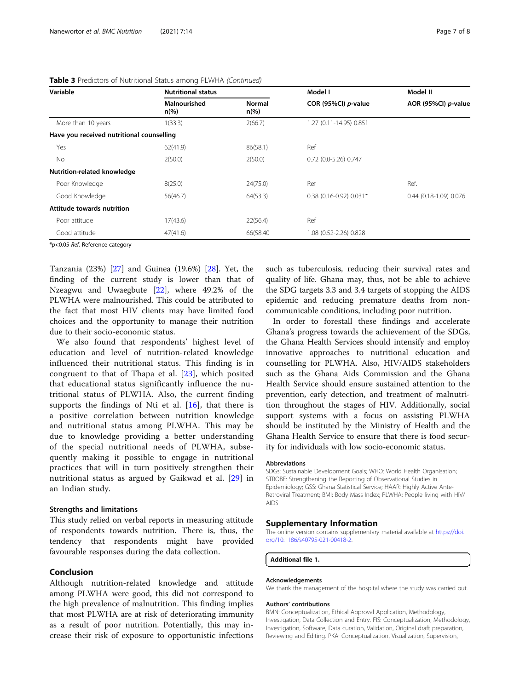| Variable                                  | <b>Nutritional status</b>      |                          |                         | Model II               |
|-------------------------------------------|--------------------------------|--------------------------|-------------------------|------------------------|
|                                           | Malnourished<br>$n\frac{6}{6}$ | Normal<br>$n\frac{6}{6}$ | COR (95%CI) p-value     | AOR (95%CI) p-value    |
| More than 10 years                        | 1(33.3)                        | 2(66.7)                  | 1.27 (0.11-14.95) 0.851 |                        |
| Have you received nutritional counselling |                                |                          |                         |                        |
| Yes                                       | 62(41.9)                       | 86(58.1)                 | Ref                     |                        |
| No.                                       | 2(50.0)                        | 2(50.0)                  | 0.72 (0.0-5.26) 0.747   |                        |
| <b>Nutrition-related knowledge</b>        |                                |                          |                         |                        |
| Poor Knowledge                            | 8(25.0)                        | 24(75.0)                 | Ref                     | Ref.                   |
| Good Knowledge                            | 56(46.7)                       | 64(53.3)                 | 0.38 (0.16-0.92) 0.031* | 0.44 (0.18-1.09) 0.076 |
| Attitude towards nutrition                |                                |                          |                         |                        |
| Poor attitude                             | 17(43.6)                       | 22(56.4)                 | Ref                     |                        |
| Good attitude                             | 47(41.6)                       | 66(58.40                 | 1.08 (0.52-2.26) 0.828  |                        |

#### <span id="page-6-0"></span>Table 3 Predictors of Nutritional Status among PLWHA (Continued)

\*p<0.05 Ref. Reference category

Tanzania (23%) [\[27](#page-7-0)] and Guinea (19.6%) [[28\]](#page-7-0). Yet, the finding of the current study is lower than that of Nzeagwu and Uwaegbute [[22](#page-7-0)], where 49.2% of the PLWHA were malnourished. This could be attributed to the fact that most HIV clients may have limited food choices and the opportunity to manage their nutrition due to their socio-economic status.

We also found that respondents' highest level of education and level of nutrition-related knowledge influenced their nutritional status. This finding is in congruent to that of Thapa et al. [[23\]](#page-7-0), which posited that educational status significantly influence the nutritional status of PLWHA. Also, the current finding supports the findings of Nti et al. [[16\]](#page-7-0), that there is a positive correlation between nutrition knowledge and nutritional status among PLWHA. This may be due to knowledge providing a better understanding of the special nutritional needs of PLWHA, subsequently making it possible to engage in nutritional practices that will in turn positively strengthen their nutritional status as argued by Gaikwad et al. [[29\]](#page-7-0) in an Indian study.

#### Strengths and limitations

This study relied on verbal reports in measuring attitude of respondents towards nutrition. There is, thus, the tendency that respondents might have provided favourable responses during the data collection.

# Conclusion

Although nutrition-related knowledge and attitude among PLWHA were good, this did not correspond to the high prevalence of malnutrition. This finding implies that most PLWHA are at risk of deteriorating immunity as a result of poor nutrition. Potentially, this may increase their risk of exposure to opportunistic infections such as tuberculosis, reducing their survival rates and quality of life. Ghana may, thus, not be able to achieve the SDG targets 3.3 and 3.4 targets of stopping the AIDS epidemic and reducing premature deaths from noncommunicable conditions, including poor nutrition.

In order to forestall these findings and accelerate Ghana's progress towards the achievement of the SDGs, the Ghana Health Services should intensify and employ innovative approaches to nutritional education and counselling for PLWHA. Also, HIV/AIDS stakeholders such as the Ghana Aids Commission and the Ghana Health Service should ensure sustained attention to the prevention, early detection, and treatment of malnutrition throughout the stages of HIV. Additionally, social support systems with a focus on assisting PLWHA should be instituted by the Ministry of Health and the Ghana Health Service to ensure that there is food security for individuals with low socio-economic status.

#### Abbreviations

SDGs: Sustainable Development Goals; WHO: World Health Organisation; STROBE: Strengthening the Reporting of Observational Studies in Epidemiology; GSS: Ghana Statistical Service; HAAR: Highly Active Ante-Retroviral Treatment; BMI: Body Mass Index; PLWHA: People living with HIV/ AIDS

#### Supplementary Information

The online version contains supplementary material available at [https://doi.](https://doi.org/10.1186/s40795-021-00418-2) [org/10.1186/s40795-021-00418-2.](https://doi.org/10.1186/s40795-021-00418-2)

Additional file 1.

#### Acknowledgements

We thank the management of the hospital where the study was carried out.

#### Authors' contributions

BMN: Conceptualization, Ethical Approval Application, Methodology, Investigation, Data Collection and Entry. FIS: Conceptualization, Methodology, Investigation, Software, Data curation, Validation, Original draft preparation, Reviewing and Editing. PKA: Conceptualization, Visualization, Supervision,